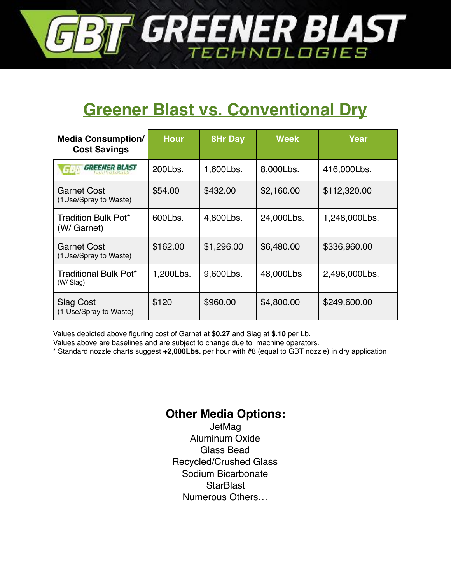

# **Greener Blast vs. Conventional Dry**

| <b>Media Consumption/</b><br><b>Cost Savings</b> | <b>Hour</b> | <b>8Hr Day</b> | <b>Week</b> | Year          |
|--------------------------------------------------|-------------|----------------|-------------|---------------|
| <b>GREENER BLAST</b>                             | 200Lbs.     | 1,600Lbs.      | 8,000Lbs.   | 416,000Lbs.   |
| <b>Garnet Cost</b><br>(1Use/Spray to Waste)      | \$54.00     | \$432.00       | \$2,160.00  | \$112,320.00  |
| Tradition Bulk Pot*<br>(W/ Garnet)               | 600Lbs.     | 4,800Lbs.      | 24,000Lbs.  | 1,248,000Lbs. |
| <b>Garnet Cost</b><br>(1Use/Spray to Waste)      | \$162.00    | \$1,296.00     | \$6,480.00  | \$336,960.00  |
| Traditional Bulk Pot*<br>(W/Slag)                | 1,200Lbs.   | 9,600Lbs.      | 48,000Lbs   | 2,496,000Lbs. |
| <b>Slag Cost</b><br>(1 Use/Spray to Waste)       | \$120       | \$960.00       | \$4,800.00  | \$249,600.00  |

Values depicted above figuring cost of Garnet at **\$0.27** and Slag at **\$.10** per Lb.

Values above are baselines and are subject to change due to machine operators.

\* Standard nozzle charts suggest **+2,000Lbs.** per hour with #8 (equal to GBT nozzle) in dry application

#### **Other Media Options:**

JetMag Aluminum Oxide Glass Bead Recycled/Crushed Glass Sodium Bicarbonate **StarBlast** Numerous Others…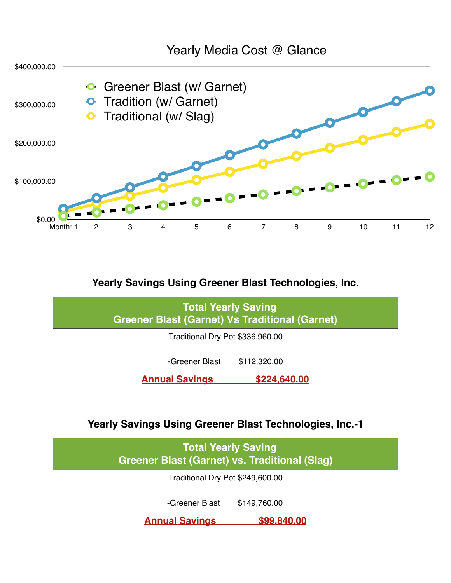

#### **Yearly Savings Using Greener Blast Technologies, Inc.**

 **Total Yearly Saving Greener Blast (Garnet) Vs Traditional (Garnet)**

Traditional Dry Pot \$336,960.00

-Greener Blast \$112,320.00

**Annual Savings \$224,640.00**

**Yearly Savings Using Greener Blast Technologies, Inc.-1**

 **Total Yearly Saving Greener Blast (Garnet) vs. Traditional (Slag)**

Traditional Dry Pot \$249,600.00

-Greener Blast \$149,760.00

**Annual Savings \$99,840.00**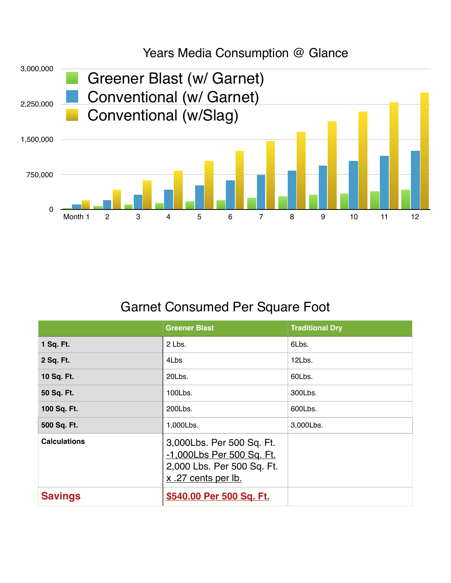

### Years Media Consumption @ Glance

## Garnet Consumed Per Square Foot

|                     | <b>Greener Blast</b>                                                                                        | <b>Traditional Dry</b> |
|---------------------|-------------------------------------------------------------------------------------------------------------|------------------------|
| 1 Sq. Ft.           | 2 Lbs.                                                                                                      | 6Lbs.                  |
| 2 Sq. Ft.           | 4Lbs                                                                                                        | 12Lbs.                 |
| 10 Sq. Ft.          | 20Lbs.                                                                                                      | 60Lbs.                 |
| 50 Sq. Ft.          | 100Lbs.                                                                                                     | 300Lbs.                |
| 100 Sq. Ft.         | 200Lbs.                                                                                                     | 600Lbs.                |
| 500 Sq. Ft.         | 1,000Lbs.                                                                                                   | 3,000Lbs.              |
| <b>Calculations</b> | 3,000Lbs. Per 500 Sq. Ft.<br>-1,000Lbs Per 500 Sq. Ft.<br>2,000 Lbs. Per 500 Sq. Ft.<br>x .27 cents per lb. |                        |
| <b>Savings</b>      | \$540.00 Per 500 Sq. Ft.                                                                                    |                        |